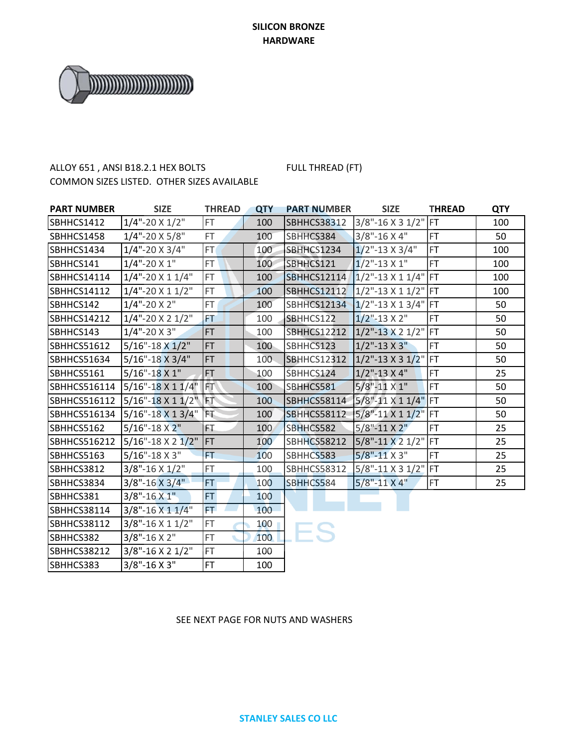

# ALLOY 651, ANSI B18.2.1 HEX BOLTS FULL THREAD (FT) COMMON SIZES LISTED. OTHER SIZES AVAILABLE

| <b>PART NUMBER</b>  | <b>SIZE</b>                  | <b>THREAD</b> | <b>QTY</b> | <b>PART NUMBER</b> | <b>SIZE</b>                 | <b>THREAD</b> | <b>QTY</b> |
|---------------------|------------------------------|---------------|------------|--------------------|-----------------------------|---------------|------------|
| SBHHCS1412          | $1/4$ "-20 X $1/2$ "         | FT.           | 100        | <b>SBHHCS38312</b> | 3/8"-16 X 3 1/2" FT         |               | 100        |
| SBHHCS1458          | $1/4$ "-20 X 5/8"            | <b>FT</b>     | 100        | SBHHCS384          | $3/8$ "-16 X 4"             | FT            | 50         |
| SBHHCS1434          | $1/4$ "-20 X 3/4"            | FT.           | 100        | SBHHCS1234         | $1/2$ "-13 X 3/4"           | <b>FT</b>     | 100        |
| SBHHCS141           | $1/4$ "-20 X 1"              | FT.           | 100        | SBHHCS121          | $1/2$ "-13 X 1"             | FT.           | 100        |
| <b>SBHHCS14114</b>  | $1/4$ "-20 X 1 $1/4$ "       | FT.           | 100        | <b>SBHHCS12114</b> | $1/2$ "-13 X 1 1/4" FT      |               | 100        |
| <b>SBHHCS14112</b>  | $1/4$ "-20 X 1 $1/2$ "       | FT.           | 100        | <b>SBHHCS12112</b> | 1/2"-13 X 1 1/2" FT         |               | 100        |
| SBHHCS142           | $1/4$ "-20 X 2"              | FT.           | 100        | <b>SBHHCS12134</b> | $1/2$ "-13 X 1 3/4" FT      |               | 50         |
| <b>SBHHCS14212</b>  | $1/4$ "-20 X 2 $1/2$ "       | FT            | 100        | SBHHCS122          | $1/2$ "-13 X 2"             | FT            | 50         |
| SBHHCS143           | $1/4$ "-20 X 3"              | FT.           | 100        | <b>SBHHCS12212</b> | $1/2$ "-13 X 2 1/2" FT      |               | 50         |
| SBHHCS51612         | $5/16$ "-18 X 1/2"           | <b>FT</b>     | 100        | SBHHCS123          | $1/2$ "-13 X 3"             | <b>FT</b>     | 50         |
| <b>SBHHCS51634</b>  | $5/16" - 18 \times 3/4"$     | <b>FT</b>     | 100        | <b>SBHHCS12312</b> | $1/2$ "-13 X 3 $1/2$ "      | <b>IFT</b>    | 50         |
| SBHHCS5161          | $5/16$ "-18 X 1"             | <b>FT</b>     | 100        | SBHHCS124          | $1/2$ "-13 X 4"             | <b>FT</b>     | 25         |
| SBHHCS516114        | $5/16" - 18 \times 11/4"$ FT |               | 100        | SBHHCS581          | $5/8$ "-11 $\times$ 1"      | <b>FT</b>     | 50         |
| <b>SBHHCS516112</b> | $5/16" - 18 \times 11/2"$    | FT.           | 100        | <b>SBHHCS58114</b> | $5/8$ "-11 X 1 1/4"         | FT            | 50         |
| SBHHCS516134        | $5/16" - 18 \times 13/4"$    | FT.           | 100        | <b>SBHHCS58112</b> | $5/8" - 11 \times 11/2"$ FT |               | 50         |
| SBHHCS5162          | $5/16" - 18 \times 2"$       | FT.           | 100        | SBHHCS582          | $5/8" - 11 X 2"$            | <b>FT</b>     | 25         |
| SBHHCS516212        | $5/16$ "-18 X 2 $1/2$ "      | <b>FT</b>     | 100        | <b>SBHHCS58212</b> | 5/8"-11 X 2 1/2"            | <b>FT</b>     | 25         |
| SBHHCS5163          | $5/16$ "-18 X 3"             | <b>FT</b>     | 100        | SBHHCS583          | $5/8$ "-11 X 3"             | FT            | 25         |
| SBHHCS3812          | $3/8$ "-16 X $1/2$ "         | FT.           | 100        | <b>SBHHCS58312</b> | $5/8$ "-11 X 3 1/2" FT      |               | 25         |
| SBHHCS3834          | $3/8" - 16 \times 3/4"$      | <b>FT</b>     | 100        | SBHHCS584          | 5/8"-11 X 4"                | <b>FT</b>     | 25         |
| SBHHCS381           | $3/8" - 16X1"$               | FT.           | 100        |                    |                             |               |            |
| <b>SBHHCS38114</b>  | $3/8$ "-16 X 1 1/4"          | FT.           | 100        |                    |                             |               |            |
| <b>SBHHCS38112</b>  | $3/8$ "-16 X 1 1/2"          | FT.           | 100        |                    |                             |               |            |
| SBHHCS382           | $3/8" - 16 \times 2"$        | FT.           | 100        |                    |                             |               |            |
| <b>SBHHCS38212</b>  | $3/8$ "-16 X 2 1/2"          | FT.           | 100        |                    |                             |               |            |
| SBHHCS383           | $3/8$ "-16 X 3"              | FT.           | 100        |                    |                             |               |            |

### SEE NEXT PAGE FOR NUTS AND WASHERS